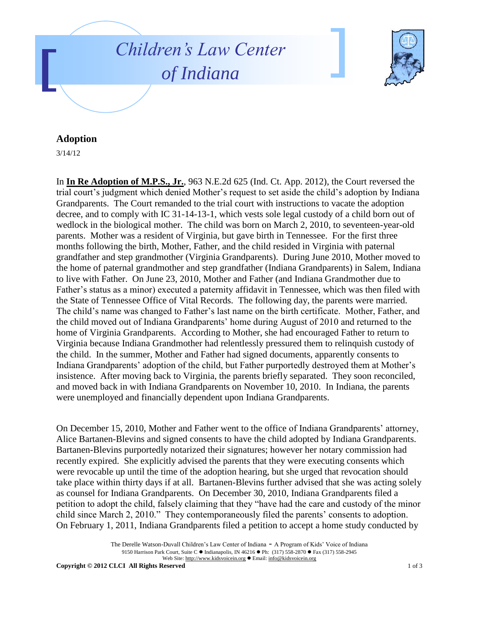



## **Adoption**

3/14/12

In **In Re Adoption of M.P.S., Jr.**, 963 N.E.2d 625 (Ind. Ct. App. 2012), the Court reversed the trial court's judgment which denied Mother's request to set aside the child's adoption by Indiana Grandparents. The Court remanded to the trial court with instructions to vacate the adoption decree, and to comply with IC 31-14-13-1, which vests sole legal custody of a child born out of wedlock in the biological mother. The child was born on March 2, 2010, to seventeen-year-old parents. Mother was a resident of Virginia, but gave birth in Tennessee. For the first three months following the birth, Mother, Father, and the child resided in Virginia with paternal grandfather and step grandmother (Virginia Grandparents). During June 2010, Mother moved to the home of paternal grandmother and step grandfather (Indiana Grandparents) in Salem, Indiana to live with Father. On June 23, 2010, Mother and Father (and Indiana Grandmother due to Father's status as a minor) executed a paternity affidavit in Tennessee, which was then filed with the State of Tennessee Office of Vital Records. The following day, the parents were married. The child's name was changed to Father's last name on the birth certificate. Mother, Father, and the child moved out of Indiana Grandparents' home during August of 2010 and returned to the home of Virginia Grandparents. According to Mother, she had encouraged Father to return to Virginia because Indiana Grandmother had relentlessly pressured them to relinquish custody of the child. In the summer, Mother and Father had signed documents, apparently consents to Indiana Grandparents' adoption of the child, but Father purportedly destroyed them at Mother's insistence. After moving back to Virginia, the parents briefly separated. They soon reconciled, and moved back in with Indiana Grandparents on November 10, 2010. In Indiana, the parents were unemployed and financially dependent upon Indiana Grandparents.

On December 15, 2010, Mother and Father went to the office of Indiana Grandparents' attorney, Alice Bartanen-Blevins and signed consents to have the child adopted by Indiana Grandparents. Bartanen-Blevins purportedly notarized their signatures; however her notary commission had recently expired. She explicitly advised the parents that they were executing consents which were revocable up until the time of the adoption hearing, but she urged that revocation should take place within thirty days if at all. Bartanen-Blevins further advised that she was acting solely as counsel for Indiana Grandparents. On December 30, 2010, Indiana Grandparents filed a petition to adopt the child, falsely claiming that they "have had the care and custody of the minor child since March 2, 2010." They contemporaneously filed the parents' consents to adoption. On February 1, 2011, Indiana Grandparents filed a petition to accept a home study conducted by

The Derelle Watson-Duvall Children's Law Center of Indiana - A Program of Kids' Voice of Indiana 9150 Harrison Park Court, Suite C · Indianapolis, IN 46216 · Ph: (317) 558-2870 · Fax (317) 558-2945 Web Site: http://www.kidsvoicein.org · Email: info@kidsvoicein.org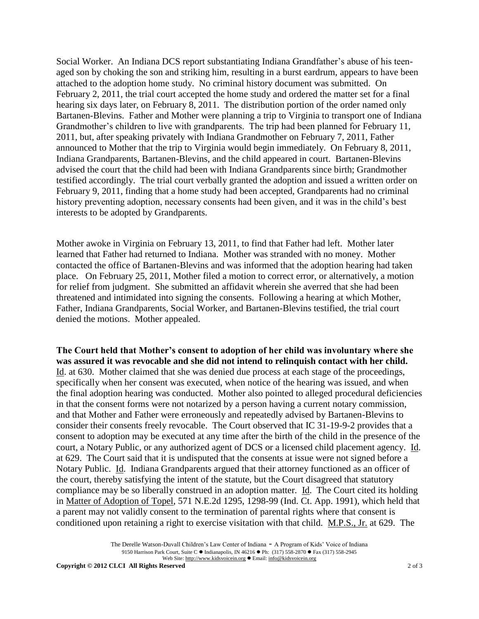Social Worker. An Indiana DCS report substantiating Indiana Grandfather's abuse of his teenaged son by choking the son and striking him, resulting in a burst eardrum, appears to have been attached to the adoption home study. No criminal history document was submitted. On February 2, 2011, the trial court accepted the home study and ordered the matter set for a final hearing six days later, on February 8, 2011. The distribution portion of the order named only Bartanen-Blevins. Father and Mother were planning a trip to Virginia to transport one of Indiana Grandmother's children to live with grandparents. The trip had been planned for February 11, 2011, but, after speaking privately with Indiana Grandmother on February 7, 2011, Father announced to Mother that the trip to Virginia would begin immediately. On February 8, 2011, Indiana Grandparents, Bartanen-Blevins, and the child appeared in court. Bartanen-Blevins advised the court that the child had been with Indiana Grandparents since birth; Grandmother testified accordingly. The trial court verbally granted the adoption and issued a written order on February 9, 2011, finding that a home study had been accepted, Grandparents had no criminal history preventing adoption, necessary consents had been given, and it was in the child's best interests to be adopted by Grandparents.

Mother awoke in Virginia on February 13, 2011, to find that Father had left. Mother later learned that Father had returned to Indiana. Mother was stranded with no money. Mother contacted the office of Bartanen-Blevins and was informed that the adoption hearing had taken place. On February 25, 2011, Mother filed a motion to correct error, or alternatively, a motion for relief from judgment. She submitted an affidavit wherein she averred that she had been threatened and intimidated into signing the consents. Following a hearing at which Mother, Father, Indiana Grandparents, Social Worker, and Bartanen-Blevins testified, the trial court denied the motions. Mother appealed.

**The Court held that Mother's consent to adoption of her child was involuntary where she was assured it was revocable and she did not intend to relinquish contact with her child.** Id. at 630. Mother claimed that she was denied due process at each stage of the proceedings, specifically when her consent was executed, when notice of the hearing was issued, and when the final adoption hearing was conducted. Mother also pointed to alleged procedural deficiencies in that the consent forms were not notarized by a person having a current notary commission, and that Mother and Father were erroneously and repeatedly advised by Bartanen-Blevins to consider their consents freely revocable. The Court observed that IC 31-19-9-2 provides that a consent to adoption may be executed at any time after the birth of the child in the presence of the court, a Notary Public, or any authorized agent of DCS or a licensed child placement agency. Id. at 629. The Court said that it is undisputed that the consents at issue were not signed before a Notary Public. Id. Indiana Grandparents argued that their attorney functioned as an officer of the court, thereby satisfying the intent of the statute, but the Court disagreed that statutory compliance may be so liberally construed in an adoption matter. Id. The Court cited its holding in Matter of Adoption of Topel, 571 N.E.2d 1295, 1298-99 (Ind. Ct. App. 1991), which held that a parent may not validly consent to the termination of parental rights where that consent is conditioned upon retaining a right to exercise visitation with that child. M.P.S., Jr. at 629. The